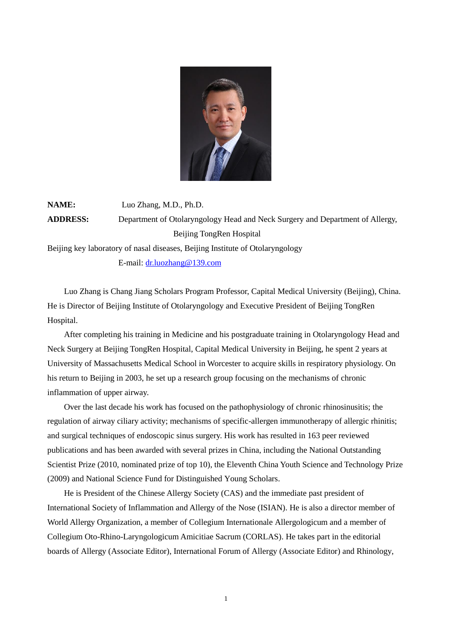

**NAME:** Luo Zhang, M.D., Ph.D. **ADDRESS:** Department of Otolaryngology Head and Neck Surgery and Department of Allergy, Beijing TongRen Hospital Beijing key laboratory of nasal diseases, Beijing Institute of Otolaryngology E-mail: [dr.luozhang@139.com](mailto:13910830399@139.com)

Luo Zhang is Chang Jiang Scholars Program Professor, Capital Medical University (Beijing), China. He is Director of Beijing Institute of Otolaryngology and Executive President of Beijing TongRen Hospital.

After completing his training in Medicine and his postgraduate training in Otolaryngology Head and Neck Surgery at Beijing TongRen Hospital, Capital Medical University in Beijing, he spent 2 years at University of Massachusetts Medical School in Worcester to acquire skills in respiratory physiology. On his return to Beijing in 2003, he set up a research group focusing on the mechanisms of chronic inflammation of upper airway.

Over the last decade his work has focused on the pathophysiology of chronic rhinosinusitis; the regulation of airway ciliary activity; mechanisms of specific-allergen immunotherapy of allergic rhinitis; and surgical techniques of endoscopic sinus surgery. His work has resulted in 163 peer reviewed publications and has been awarded with several prizes in China, including the National Outstanding Scientist Prize (2010, nominated prize of top 10), the Eleventh China Youth Science and Technology Prize (2009) and National Science Fund for Distinguished Young Scholars.

He is President of the Chinese Allergy Society (CAS) and the immediate past president of International Society of Inflammation and Allergy of the Nose (ISIAN). He is also a director member of World Allergy Organization, a member of Collegium Internationale Allergologicum and a member of Collegium Oto-Rhino-Laryngologicum Amicitiae Sacrum (CORLAS). He takes part in the editorial boards of Allergy (Associate Editor), International Forum of Allergy (Associate Editor) and Rhinology,